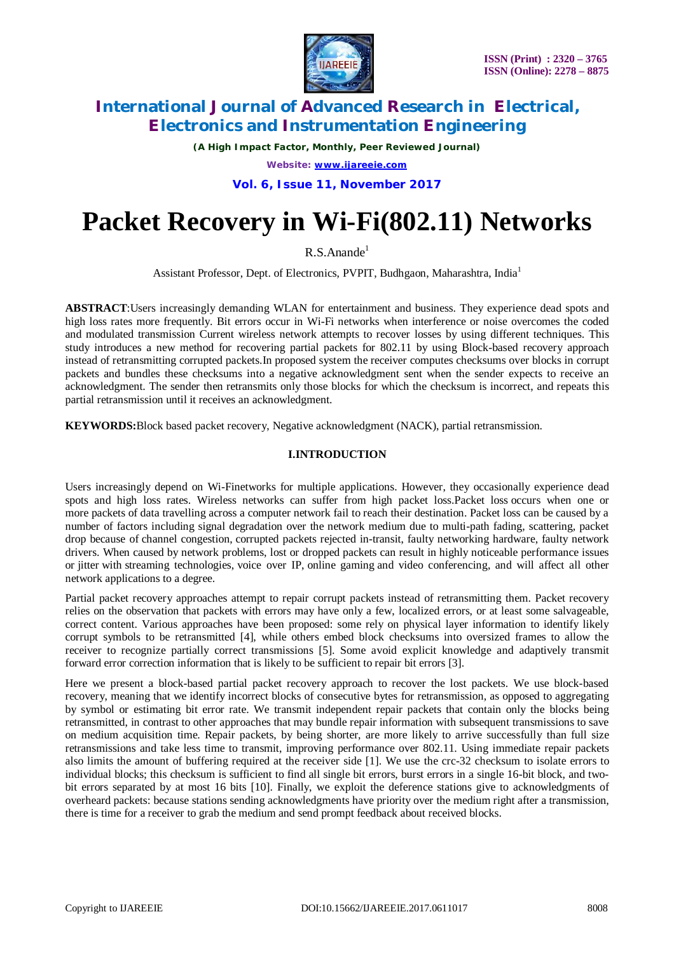

*(A High Impact Factor, Monthly, Peer Reviewed Journal)*

*Website: [www.ijareeie.com](http://www.ijareeie.com)*

**Vol. 6, Issue 11, November 2017**

# **Packet Recovery in Wi-Fi(802.11) Networks**

 $R.S.Anande<sup>1</sup>$ 

Assistant Professor, Dept. of Electronics, PVPIT, Budhgaon, Maharashtra, India<sup>1</sup>

**ABSTRACT**:Users increasingly demanding WLAN for entertainment and business. They experience dead spots and high loss rates more frequently. Bit errors occur in Wi-Fi networks when interference or noise overcomes the coded and modulated transmission Current wireless network attempts to recover losses by using different techniques. This study introduces a new method for recovering partial packets for 802.11 by using Block-based recovery approach instead of retransmitting corrupted packets.In proposed system the receiver computes checksums over blocks in corrupt packets and bundles these checksums into a negative acknowledgment sent when the sender expects to receive an acknowledgment. The sender then retransmits only those blocks for which the checksum is incorrect, and repeats this partial retransmission until it receives an acknowledgment.

**KEYWORDS:**Block based packet recovery, Negative acknowledgment (NACK), partial retransmission.

### **I.INTRODUCTION**

Users increasingly depend on Wi-Finetworks for multiple applications. However, they occasionally experience dead spots and high loss rates. Wireless networks can suffer from high packet loss.Packet loss occurs when one or more packets of data travelling across a computer network fail to reach their destination. Packet loss can be caused by a number of factors including signal degradation over the network medium due to multi-path fading, scattering, packet drop because of channel congestion, corrupted packets rejected in-transit, faulty networking hardware, faulty network drivers. When caused by network problems, lost or dropped packets can result in highly noticeable performance issues or jitter with streaming technologies, voice over IP, online gaming and video conferencing, and will affect all other network applications to a degree.

Partial packet recovery approaches attempt to repair corrupt packets instead of retransmitting them. Packet recovery relies on the observation that packets with errors may have only a few, localized errors, or at least some salvageable, correct content. Various approaches have been proposed: some rely on physical layer information to identify likely corrupt symbols to be retransmitted [4], while others embed block checksums into oversized frames to allow the receiver to recognize partially correct transmissions [5]. Some avoid explicit knowledge and adaptively transmit forward error correction information that is likely to be sufficient to repair bit errors [3].

Here we present a block-based partial packet recovery approach to recover the lost packets. We use block-based recovery, meaning that we identify incorrect blocks of consecutive bytes for retransmission, as opposed to aggregating by symbol or estimating bit error rate. We transmit independent repair packets that contain only the blocks being retransmitted, in contrast to other approaches that may bundle repair information with subsequent transmissions to save on medium acquisition time. Repair packets, by being shorter, are more likely to arrive successfully than full size retransmissions and take less time to transmit, improving performance over 802.11. Using immediate repair packets also limits the amount of buffering required at the receiver side [1]. We use the crc-32 checksum to isolate errors to individual blocks; this checksum is sufficient to find all single bit errors, burst errors in a single 16-bit block, and twobit errors separated by at most 16 bits [10]. Finally, we exploit the deference stations give to acknowledgments of overheard packets: because stations sending acknowledgments have priority over the medium right after a transmission, there is time for a receiver to grab the medium and send prompt feedback about received blocks.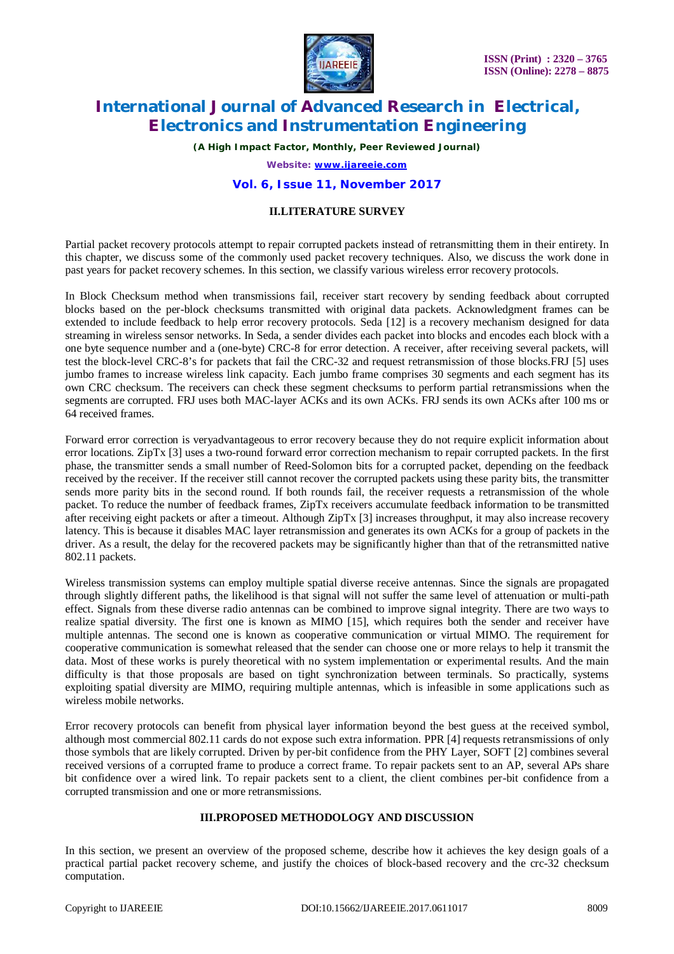

*(A High Impact Factor, Monthly, Peer Reviewed Journal)*

*Website: [www.ijareeie.com](http://www.ijareeie.com)*

#### **Vol. 6, Issue 11, November 2017**

### **II.LITERATURE SURVEY**

Partial packet recovery protocols attempt to repair corrupted packets instead of retransmitting them in their entirety. In this chapter, we discuss some of the commonly used packet recovery techniques. Also, we discuss the work done in past years for packet recovery schemes. In this section, we classify various wireless error recovery protocols.

In Block Checksum method when transmissions fail, receiver start recovery by sending feedback about corrupted blocks based on the per-block checksums transmitted with original data packets. Acknowledgment frames can be extended to include feedback to help error recovery protocols. Seda [12] is a recovery mechanism designed for data streaming in wireless sensor networks. In Seda, a sender divides each packet into blocks and encodes each block with a one byte sequence number and a (one-byte) CRC-8 for error detection. A receiver, after receiving several packets, will test the block-level CRC-8's for packets that fail the CRC-32 and request retransmission of those blocks.FRJ [5] uses jumbo frames to increase wireless link capacity. Each jumbo frame comprises 30 segments and each segment has its own CRC checksum. The receivers can check these segment checksums to perform partial retransmissions when the segments are corrupted. FRJ uses both MAC-layer ACKs and its own ACKs. FRJ sends its own ACKs after 100 ms or 64 received frames.

Forward error correction is veryadvantageous to error recovery because they do not require explicit information about error locations. ZipTx [3] uses a two-round forward error correction mechanism to repair corrupted packets. In the first phase, the transmitter sends a small number of Reed-Solomon bits for a corrupted packet, depending on the feedback received by the receiver. If the receiver still cannot recover the corrupted packets using these parity bits, the transmitter sends more parity bits in the second round. If both rounds fail, the receiver requests a retransmission of the whole packet. To reduce the number of feedback frames, ZipTx receivers accumulate feedback information to be transmitted after receiving eight packets or after a timeout. Although ZipTx [3] increases throughput, it may also increase recovery latency. This is because it disables MAC layer retransmission and generates its own ACKs for a group of packets in the driver. As a result, the delay for the recovered packets may be significantly higher than that of the retransmitted native 802.11 packets.

Wireless transmission systems can employ multiple spatial diverse receive antennas. Since the signals are propagated through slightly different paths, the likelihood is that signal will not suffer the same level of attenuation or multi-path effect. Signals from these diverse radio antennas can be combined to improve signal integrity. There are two ways to realize spatial diversity. The first one is known as MIMO [15], which requires both the sender and receiver have multiple antennas. The second one is known as cooperative communication or virtual MIMO. The requirement for cooperative communication is somewhat released that the sender can choose one or more relays to help it transmit the data. Most of these works is purely theoretical with no system implementation or experimental results. And the main difficulty is that those proposals are based on tight synchronization between terminals. So practically, systems exploiting spatial diversity are MIMO, requiring multiple antennas, which is infeasible in some applications such as wireless mobile networks.

Error recovery protocols can benefit from physical layer information beyond the best guess at the received symbol, although most commercial 802.11 cards do not expose such extra information. PPR [4] requests retransmissions of only those symbols that are likely corrupted. Driven by per-bit confidence from the PHY Layer, SOFT [2] combines several received versions of a corrupted frame to produce a correct frame. To repair packets sent to an AP, several APs share bit confidence over a wired link. To repair packets sent to a client, the client combines per-bit confidence from a corrupted transmission and one or more retransmissions.

#### **III.PROPOSED METHODOLOGY AND DISCUSSION**

In this section, we present an overview of the proposed scheme, describe how it achieves the key design goals of a practical partial packet recovery scheme, and justify the choices of block-based recovery and the crc-32 checksum computation.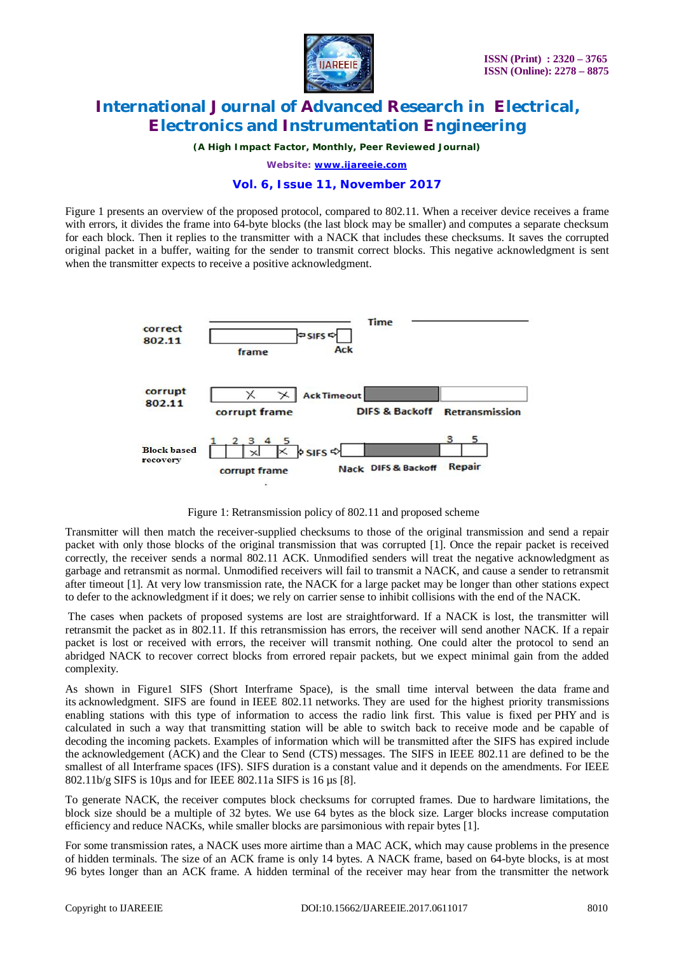

*(A High Impact Factor, Monthly, Peer Reviewed Journal)*

*Website: [www.ijareeie.com](http://www.ijareeie.com)*

#### **Vol. 6, Issue 11, November 2017**

Figure 1 presents an overview of the proposed protocol, compared to 802.11. When a receiver device receives a frame with errors, it divides the frame into 64-byte blocks (the last block may be smaller) and computes a separate checksum for each block. Then it replies to the transmitter with a NACK that includes these checksums. It saves the corrupted original packet in a buffer, waiting for the sender to transmit correct blocks. This negative acknowledgment is sent when the transmitter expects to receive a positive acknowledgment.



Figure 1: Retransmission policy of 802.11 and proposed scheme

Transmitter will then match the receiver-supplied checksums to those of the original transmission and send a repair packet with only those blocks of the original transmission that was corrupted [1]. Once the repair packet is received correctly, the receiver sends a normal 802.11 ACK. Unmodified senders will treat the negative acknowledgment as garbage and retransmit as normal. Unmodified receivers will fail to transmit a NACK, and cause a sender to retransmit after timeout [1]. At very low transmission rate, the NACK for a large packet may be longer than other stations expect to defer to the acknowledgment if it does; we rely on carrier sense to inhibit collisions with the end of the NACK.

The cases when packets of proposed systems are lost are straightforward. If a NACK is lost, the transmitter will retransmit the packet as in 802.11. If this retransmission has errors, the receiver will send another NACK. If a repair packet is lost or received with errors, the receiver will transmit nothing. One could alter the protocol to send an abridged NACK to recover correct blocks from errored repair packets, but we expect minimal gain from the added complexity.

As shown in Figure1 SIFS (Short Interframe Space), is the small time interval between the data frame and its acknowledgment. SIFS are found in IEEE 802.11 networks. They are used for the highest priority transmissions enabling stations with this type of information to access the radio link first. This value is fixed per PHY and is calculated in such a way that transmitting station will be able to switch back to receive mode and be capable of decoding the incoming packets. Examples of information which will be transmitted after the SIFS has expired include the acknowledgement (ACK) and the Clear to Send (CTS) messages. The SIFS in IEEE 802.11 are defined to be the smallest of all Interframe spaces (IFS). SIFS duration is a constant value and it depends on the amendments. For IEEE 802.11b/g SIFS is 10µs and for IEEE 802.11a SIFS is 16 µs [8].

To generate NACK, the receiver computes block checksums for corrupted frames. Due to hardware limitations, the block size should be a multiple of 32 bytes. We use 64 bytes as the block size. Larger blocks increase computation efficiency and reduce NACKs, while smaller blocks are parsimonious with repair bytes [1].

For some transmission rates, a NACK uses more airtime than a MAC ACK, which may cause problems in the presence of hidden terminals. The size of an ACK frame is only 14 bytes. A NACK frame, based on 64-byte blocks, is at most 96 bytes longer than an ACK frame. A hidden terminal of the receiver may hear from the transmitter the network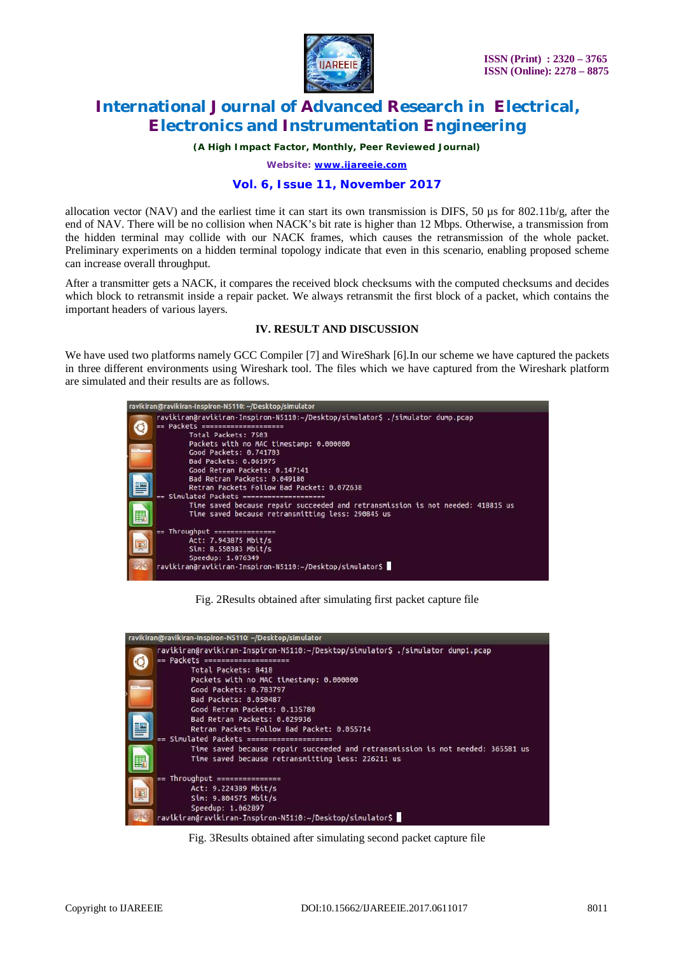

*(A High Impact Factor, Monthly, Peer Reviewed Journal)*

*Website: [www.ijareeie.com](http://www.ijareeie.com)*

#### **Vol. 6, Issue 11, November 2017**

allocation vector (NAV) and the earliest time it can start its own transmission is DIFS, 50  $\mu$ s for 802.11b/g, after the end of NAV. There will be no collision when NACK's bit rate is higher than 12 Mbps. Otherwise, a transmission from the hidden terminal may collide with our NACK frames, which causes the retransmission of the whole packet. Preliminary experiments on a hidden terminal topology indicate that even in this scenario, enabling proposed scheme can increase overall throughput.

After a transmitter gets a NACK, it compares the received block checksums with the computed checksums and decides which block to retransmit inside a repair packet. We always retransmit the first block of a packet, which contains the important headers of various layers.

### **IV. RESULT AND DISCUSSION**

We have used two platforms namely GCC Compiler [7] and WireShark [6]. In our scheme we have captured the packets in three different environments using Wireshark tool. The files which we have captured from the Wireshark platform are simulated and their results are as follows.



Fig. 2Results obtained after simulating first packet capture file



Fig. 3Results obtained after simulating second packet capture file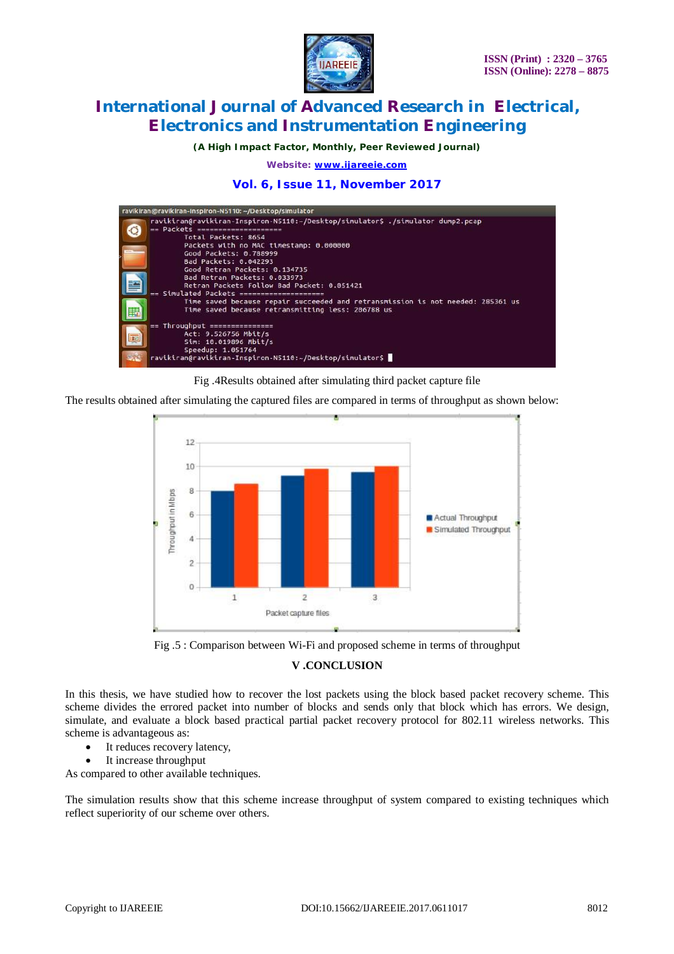

*(A High Impact Factor, Monthly, Peer Reviewed Journal)*

*Website: [www.ijareeie.com](http://www.ijareeie.com)*

**Vol. 6, Issue 11, November 2017**

| ravikiran@ravikiran-Inspiron-N5110: ~/Desktop/simulator                                                                                                                                                                                                                                                                                                                                               |  |
|-------------------------------------------------------------------------------------------------------------------------------------------------------------------------------------------------------------------------------------------------------------------------------------------------------------------------------------------------------------------------------------------------------|--|
| ravikiran@ravikiran-Inspiron-N5110:~/Desktop/simulator\$ ./simulator dump2.pcap<br>== Packets =====================<br>Total Packets: 8654<br>Packets with no MAC timestamp: 0.000000<br>Good Packets: 0.788999<br>Bad Packets: 0.042293<br>Good Retran Packets: 0.134735<br>Bad Retran Packets: 0.033973<br>Retran Packets Follow Bad Packet: 0.051421<br>== Simulated Packets ===================== |  |
| Time saved because repair succeeded and retransmission is not needed: 285361 us<br>Time saved because retransmitting less: 206788 us                                                                                                                                                                                                                                                                  |  |
| Throughput ================<br>$= -$<br>Act: 9.526756 Mbit/s<br>Sim: 10.019896 Mbit/s<br>Speedup: 1.051764<br>ravikiran@ravikiran-Inspiron-N5110:~/Desktop/simulator\$                                                                                                                                                                                                                                |  |

Fig .4Results obtained after simulating third packet capture file

The results obtained after simulating the captured files are compared in terms of throughput as shown below:



Fig .5 : Comparison between Wi-Fi and proposed scheme in terms of throughput

### **V .CONCLUSION**

In this thesis, we have studied how to recover the lost packets using the block based packet recovery scheme. This scheme divides the errored packet into number of blocks and sends only that block which has errors. We design, simulate, and evaluate a block based practical partial packet recovery protocol for 802.11 wireless networks. This scheme is advantageous as:

- It reduces recovery latency,
- It increase throughput

As compared to other available techniques.

The simulation results show that this scheme increase throughput of system compared to existing techniques which reflect superiority of our scheme over others.